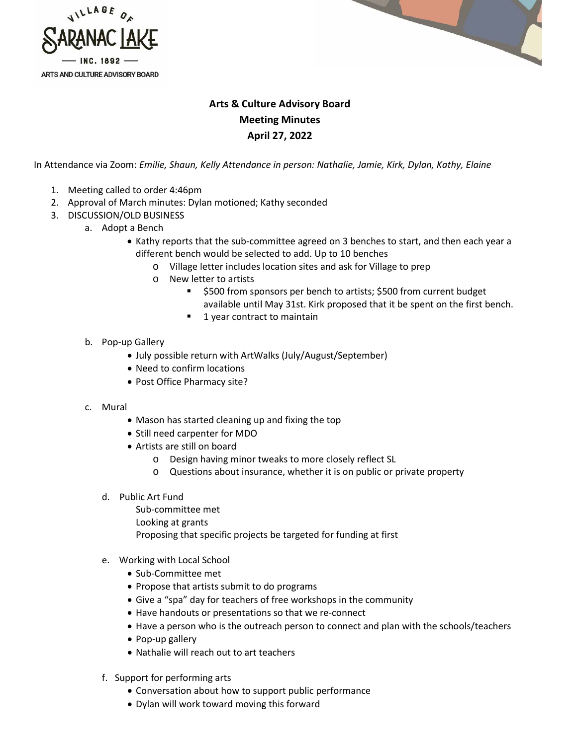



## **Arts & Culture Advisory Board Meeting Minutes April 27, 2022**

In Attendance via Zoom: *Emilie, Shaun, Kelly Attendance in person: Nathalie, Jamie, Kirk, Dylan, Kathy, Elaine*

- 1. Meeting called to order 4:46pm
- 2. Approval of March minutes: Dylan motioned; Kathy seconded
- 3. DISCUSSION/OLD BUSINESS
	- a. Adopt a Bench
		- Kathy reports that the sub-committee agreed on 3 benches to start, and then each year a different bench would be selected to add. Up to 10 benches
			- o Village letter includes location sites and ask for Village to prep
			- o New letter to artists
				- **5500 from sponsors per bench to artists; \$500 from current budget** available until May 31st. Kirk proposed that it be spent on the first bench.
				- 1 year contract to maintain
		- b. Pop-up Gallery
			- July possible return with ArtWalks (July/August/September)
			- Need to confirm locations
			- Post Office Pharmacy site?
		- c. Mural
			- Mason has started cleaning up and fixing the top
			- Still need carpenter for MDO
			- Artists are still on board
				- o Design having minor tweaks to more closely reflect SL
				- o Questions about insurance, whether it is on public or private property
			- d. Public Art Fund
				- Sub-committee met Looking at grants Proposing that specific projects be targeted for funding at first
			- e. Working with Local School
				- Sub-Committee met
				- Propose that artists submit to do programs
				- Give a "spa" day for teachers of free workshops in the community
				- Have handouts or presentations so that we re-connect
				- Have a person who is the outreach person to connect and plan with the schools/teachers
				- Pop-up gallery
				- Nathalie will reach out to art teachers
			- f. Support for performing arts
				- Conversation about how to support public performance
				- Dylan will work toward moving this forward